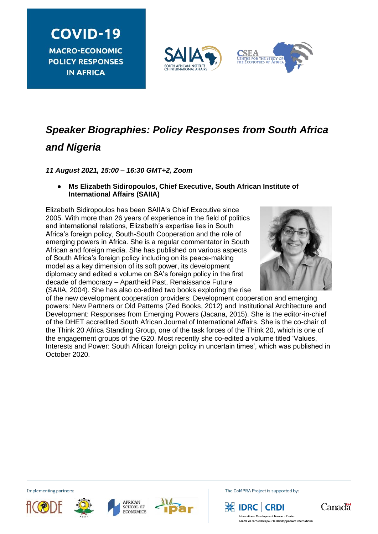**COVID-19 MACRO-ECONOMIC POLICY RESPONSES IN AFRICA** 





# *Speaker Biographies: Policy Responses from South Africa and Nigeria*

*11 August 2021, 15:00 – 16:30 GMT+2, Zoom*

### ● **Ms Elizabeth Sidiropoulos, Chief Executive, South African Institute of International Affairs (SAIIA)**

Elizabeth Sidiropoulos has been SAIIA's Chief Executive since 2005. With more than 26 years of experience in the field of politics and international relations, Elizabeth's expertise lies in South Africa's foreign policy, South-South Cooperation and the role of emerging powers in Africa. She is a regular commentator in South African and foreign media. She has published on various aspects of South Africa's foreign policy including on its peace-making model as a key dimension of its soft power, its development diplomacy and edited a volume on SA's foreign policy in the first decade of democracy – Apartheid Past, Renaissance Future (SAIIA, 2004). She has also co-edited two books exploring the rise



of the new development cooperation providers: Development cooperation and emerging powers: New Partners or Old Patterns (Zed Books, 2012) and Institutional Architecture and Development: Responses from Emerging Powers (Jacana, 2015). She is the editor-in-chief of the DHET accredited South African Journal of International Affairs. She is the co-chair of the Think 20 Africa Standing Group, one of the task forces of the Think 20, which is one of the engagement groups of the G20. Most recently she co-edited a volume titled 'Values, Interests and Power: South African foreign policy in uncertain times', which was published in October 2020.

Implementing partners:









The CoMPRA Project is supported by:





nent Research Centre Centre de recherches pour le développement internationa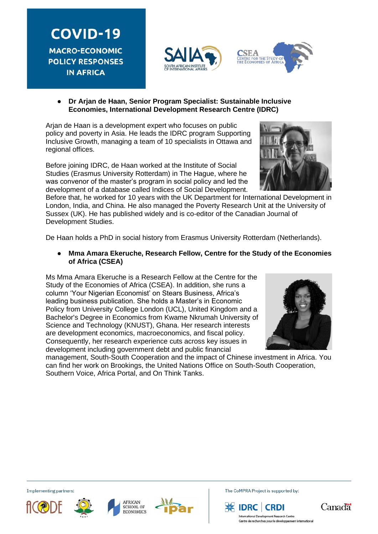**COVID-19 MACRO-ECONOMIC POLICY RESPONSES IN AFRICA** 





● **Dr Arjan de Haan, Senior Program Specialist: Sustainable Inclusive Economies, International Development Research Centre (IDRC)**

Arjan de Haan is a development expert who focuses on public policy and poverty in Asia. He leads the IDRC program Supporting Inclusive Growth, managing a team of 10 specialists in Ottawa and regional offices.

Before joining IDRC, de Haan worked at the Institute of Social Studies (Erasmus University Rotterdam) in The Hague, where he was convenor of the master's program in social policy and led the development of a database called Indices of Social Development.

Before that, he worked for 10 years with the UK Department for International Development in London, India, and China. He also managed the Poverty Research Unit at the University of Sussex (UK). He has published widely and is co-editor of the Canadian Journal of Development Studies.

De Haan holds a PhD in social history from Erasmus University Rotterdam (Netherlands).

● **Mma Amara Ekeruche, Research Fellow, Centre for the Study of the Economies of Africa (CSEA)**

Ms Mma Amara Ekeruche is a Research Fellow at the Centre for the Study of the Economies of Africa (CSEA). In addition, she runs a column 'Your Nigerian Economist' on Stears Business, Africa's leading business publication. She holds a Master's in Economic Policy from University College London (UCL), United Kingdom and a Bachelor's Degree in Economics from Kwame Nkrumah University of Science and Technology (KNUST), Ghana. Her research interests are development economics, macroeconomics, and fiscal policy. Consequently, her research experience cuts across key issues in development including government debt and public financial



management, South-South Cooperation and the impact of Chinese investment in Africa. You can find her work on Brookings, the United Nations Office on South-South Cooperation, Southern Voice, Africa Portal, and On Think Tanks.



**AFRICAN** 

Implementing partners:



The CoMPRA Project is supported by:





ent Research Centre Centre de recherches pour le développement internationa

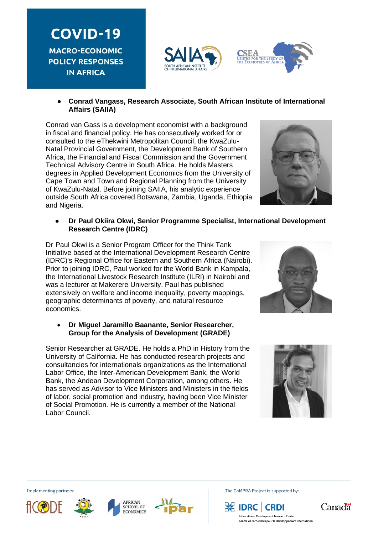**COVID-19 MACRO-ECONOMIC POLICY RESPONSES IN AFRICA** 



**SEA** TRE FOR THE STUDY



Conrad van Gass is a development economist with a background in fiscal and financial policy. He has consecutively worked for or consulted to the eThekwini Metropolitan Council, the KwaZulu-Natal Provincial Government, the Development Bank of Southern Africa, the Financial and Fiscal Commission and the Government Technical Advisory Centre in South Africa. He holds Masters degrees in Applied Development Economics from the University of Cape Town and Town and Regional Planning from the University of KwaZulu-Natal. Before joining SAIIA, his analytic experience outside South Africa covered Botswana, Zambia, Uganda, Ethiopia and Nigeria.



#### ● **Dr Paul Okiira Okwi, Senior Programme Specialist, International Development Research Centre (IDRC)**

Dr Paul Okwi is a Senior Program Officer for the Think Tank Initiative based at the International Development Research Centre (IDRC)'s Regional Office for Eastern and Southern Africa (Nairobi). Prior to joining IDRC, Paul worked for the World Bank in Kampala, the International Livestock Research Institute (ILRI) in Nairobi and was a lecturer at Makerere University. Paul has published extensively on welfare and income inequality, poverty mappings, geographic determinants of poverty, and natural resource economics.

#### • **Dr Miguel Jaramillo Baanante, Senior Researcher, Group for the Analysis of Development (GRADE)**

Senior Researcher at GRADE. He holds a PhD in History from the University of California. He has conducted research projects and consultancies for internationals organizations as the International Labor Office, the Inter-American Development Bank, the World Bank, the Andean Development Corporation, among others. He has served as Advisor to Vice Ministers and Ministers in the fields of labor, social promotion and industry, having been Vice Minister of Social Promotion. He is currently a member of the National Labor Council.





Implementing partners:







The CoMPRA Project is supported by:





nent Research Centre Centre de recherches pour le développement internationa